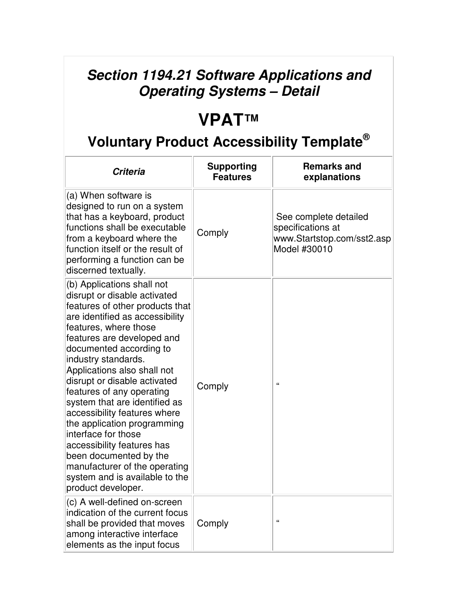## **Section 1194.21 Software Applications and Operating Systems – Detail**

## **VPAT™**

## **Voluntary Product Accessibility Template®**

| <b>Criteria</b>                                                                                                                                                                                                                                                                                                                                                                                                                                                                                                                                                                                               | <b>Supporting</b><br><b>Features</b> | <b>Remarks and</b><br>explanations                                                       |
|---------------------------------------------------------------------------------------------------------------------------------------------------------------------------------------------------------------------------------------------------------------------------------------------------------------------------------------------------------------------------------------------------------------------------------------------------------------------------------------------------------------------------------------------------------------------------------------------------------------|--------------------------------------|------------------------------------------------------------------------------------------|
| (a) When software is<br>designed to run on a system<br>that has a keyboard, product<br>functions shall be executable<br>from a keyboard where the<br>function itself or the result of<br>performing a function can be<br>discerned textually.                                                                                                                                                                                                                                                                                                                                                                 | Comply                               | See complete detailed<br>specifications at<br>www.Startstop.com/sst2.asp<br>Model #30010 |
| (b) Applications shall not<br>disrupt or disable activated<br>features of other products that<br>are identified as accessibility<br>features, where those<br>features are developed and<br>documented according to<br>industry standards.<br>Applications also shall not<br>disrupt or disable activated<br>features of any operating<br>system that are identified as<br>accessibility features where<br>the application programming<br>interface for those<br>accessibility features has<br>been documented by the<br>manufacturer of the operating<br>system and is available to the<br>product developer. | Comply                               | $\epsilon$                                                                               |
| (c) A well-defined on-screen<br>indication of the current focus<br>shall be provided that moves<br>among interactive interface<br>elements as the input focus                                                                                                                                                                                                                                                                                                                                                                                                                                                 | Comply                               | $\epsilon$                                                                               |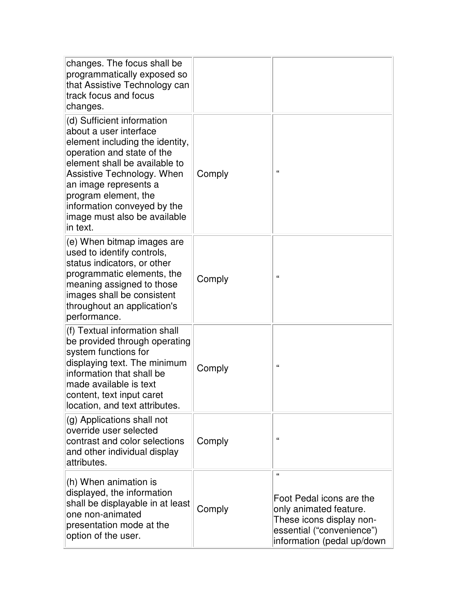| changes. The focus shall be<br>programmatically exposed so<br>that Assistive Technology can<br>track focus and focus<br>changes.                                                                                                                                                                                 |        |                                                                                                                                                       |
|------------------------------------------------------------------------------------------------------------------------------------------------------------------------------------------------------------------------------------------------------------------------------------------------------------------|--------|-------------------------------------------------------------------------------------------------------------------------------------------------------|
| (d) Sufficient information<br>about a user interface<br>element including the identity,<br>operation and state of the<br>element shall be available to<br>Assistive Technology. When<br>an image represents a<br>program element, the<br>information conveyed by the<br>image must also be available<br>in text. | Comply | $\epsilon$                                                                                                                                            |
| (e) When bitmap images are<br>used to identify controls,<br>status indicators, or other<br>programmatic elements, the<br>meaning assigned to those<br>images shall be consistent<br>throughout an application's<br>performance.                                                                                  | Comply | $\epsilon$                                                                                                                                            |
| (f) Textual information shall<br>be provided through operating<br>system functions for<br>displaying text. The minimum<br>information that shall be<br>made available is text<br>content, text input caret<br>location, and text attributes.                                                                     | Comply | $\mathbf{G}$                                                                                                                                          |
| (g) Applications shall not<br>override user selected<br>contrast and color selections<br>and other individual display<br>attributes.                                                                                                                                                                             | Comply | $\epsilon$                                                                                                                                            |
| (h) When animation is<br>displayed, the information<br>shall be displayable in at least<br>one non-animated<br>presentation mode at the<br>option of the user.                                                                                                                                                   | Comply | $\alpha$<br>Foot Pedal icons are the<br>only animated feature.<br>These icons display non-<br>essential ("convenience")<br>information (pedal up/down |